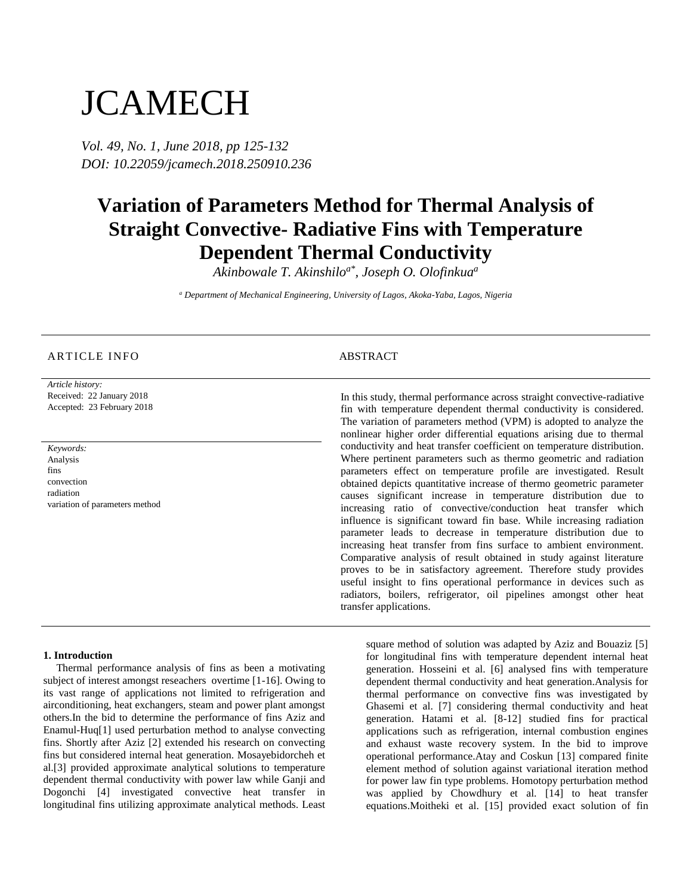# **JCAMECH**

*Vol. 49, No. 1, June 2018, pp 125-132 DOI: 10.22059/jcamech.2018.250910.236*

## **Variation of Parameters Method for Thermal Analysis of Straight Convective- Radiative Fins with Temperature Dependent Thermal Conductivity**

*Akinbowale T. Akinshiloa\* , Joseph O. Olofinkua<sup>a</sup>*

*<sup>a</sup> Department of Mechanical Engineering, University of Lagos, Akoka-Yaba, Lagos, Nigeria*

#### ARTICLE INFO ABSTRACT

*Article history:* Received: 22 January 2018 Accepted: 23 February 2018

*Keywords:* Analysis fins convection radiation variation of parameters method

In this study, thermal performance across straight convective-radiative fin with temperature dependent thermal conductivity is considered. The variation of parameters method (VPM) is adopted to analyze the nonlinear higher order differential equations arising due to thermal conductivity and heat transfer coefficient on temperature distribution. Where pertinent parameters such as thermo geometric and radiation parameters effect on temperature profile are investigated. Result obtained depicts quantitative increase of thermo geometric parameter causes significant increase in temperature distribution due to increasing ratio of convective/conduction heat transfer which influence is significant toward fin base. While increasing radiation parameter leads to decrease in temperature distribution due to increasing heat transfer from fins surface to ambient environment. Comparative analysis of result obtained in study against literature proves to be in satisfactory agreement. Therefore study provides useful insight to fins operational performance in devices such as radiators, boilers, refrigerator, oil pipelines amongst other heat transfer applications.

#### **1. Introduction**

Thermal performance analysis of fins as been a motivating subject of interest amongst reseachers overtime [1-16]. Owing to its vast range of applications not limited to refrigeration and airconditioning, heat exchangers, steam and power plant amongst others.In the bid to determine the performance of fins Aziz and Enamul-Huq[1] used perturbation method to analyse convecting fins. Shortly after Aziz [2] extended his research on convecting fins but considered internal heat generation. Mosayebidorcheh et al.[3] provided approximate analytical solutions to temperature dependent thermal conductivity with power law while Ganji and Dogonchi [4] investigated convective heat transfer in longitudinal fins utilizing approximate analytical methods. Least square method of solution was adapted by Aziz and Bouaziz [5] for longitudinal fins with temperature dependent internal heat generation. Hosseini et al. [6] analysed fins with temperature dependent thermal conductivity and heat generation.Analysis for thermal performance on convective fins was investigated by Ghasemi et al. [7] considering thermal conductivity and heat generation. Hatami et al. [8-12] studied fins for practical applications such as refrigeration, internal combustion engines and exhaust waste recovery system. In the bid to improve operational performance.Atay and Coskun [13] compared finite element method of solution against variational iteration method for power law fin type problems. Homotopy perturbation method was applied by Chowdhury et al. [14] to heat transfer equations.Moitheki et al. [15] provided exact solution of fin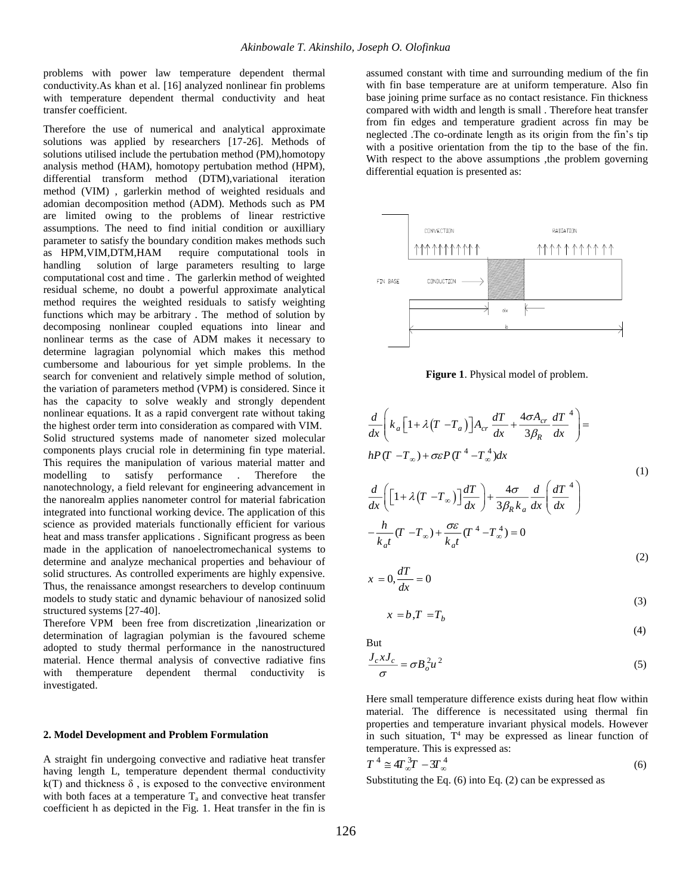problems with power law temperature dependent thermal conductivity.As khan et al. [16] analyzed nonlinear fin problems with temperature dependent thermal conductivity and heat transfer coefficient.

Therefore the use of numerical and analytical approximate solutions was applied by researchers [17-26]. Methods of solutions utilised include the pertubation method (PM),homotopy analysis method (HAM), homotopy pertubation method (HPM), differential transform method (DTM),variational iteration method (VIM) , garlerkin method of weighted residuals and adomian decomposition method (ADM). Methods such as PM are limited owing to the problems of linear restrictive assumptions. The need to find initial condition or auxilliary parameter to satisfy the boundary condition makes methods such as HPM,VIM,DTM,HAM require computational tools in handling solution of large parameters resulting to large computational cost and time . The garlerkin method of weighted residual scheme, no doubt a powerful approximate analytical method requires the weighted residuals to satisfy weighting functions which may be arbitrary . The method of solution by decomposing nonlinear coupled equations into linear and nonlinear terms as the case of ADM makes it necessary to determine lagragian polynomial which makes this method cumbersome and labourious for yet simple problems. In the search for convenient and relatively simple method of solution, the variation of parameters method (VPM) is considered. Since it has the capacity to solve weakly and strongly dependent nonlinear equations. It as a rapid convergent rate without taking the highest order term into consideration as compared with VIM. Solid structured systems made of nanometer sized molecular components plays crucial role in determining fin type material. This requires the manipulation of various material matter and modelling to satisfy performance . Therefore the nanotechnology, a field relevant for engineering advancement in the nanorealm applies nanometer control for material fabrication integrated into functional working device. The application of this science as provided materials functionally efficient for various heat and mass transfer applications . Significant progress as been made in the application of nanoelectromechanical systems to determine and analyze mechanical properties and behaviour of solid structures. As controlled experiments are highly expensive. Thus, the renaissance amongst researchers to develop continuum models to study static and dynamic behaviour of nanosized solid structured systems [27-40].

Therefore VPM been free from discretization ,linearization or determination of lagragian polymian is the favoured scheme adopted to study thermal performance in the nanostructured material. Hence thermal analysis of convective radiative fins with themperature dependent thermal conductivity is investigated.

#### **2. Model Development and Problem Formulation**

A straight fin undergoing convective and radiative heat transfer having length L, temperature dependent thermal conductivity  $k(T)$  and thickness  $\delta$ , is exposed to the convective environment with both faces at a temperature  $T_a$  and convective heat transfer coefficient h as depicted in the Fig. 1. Heat transfer in the fin is

assumed constant with time and surrounding medium of the fin with fin base temperature are at uniform temperature. Also fin base joining prime surface as no contact resistance. Fin thickness compared with width and length is small . Therefore heat transfer from fin edges and temperature gradient across fin may be neglected .The co-ordinate length as its origin from the fin's tip with a positive orientation from the tip to the base of the fin. With respect to the above assumptions ,the problem governing differential equation is presented as:



**Figure 1**. Physical model of problem.

$$
\frac{d}{dx}\left(k_a\left[1+\lambda\left(T-T_a\right)\right]A_{cr}\frac{dT}{dx}+\frac{4\sigma A_{cr}}{3\beta_R}\frac{dT}{dx}^4\right)=\nhP(T-T_{\infty})+\sigma\varepsilon P(T^4-T_{\infty}^4)dx
$$
\n(1)\n
$$
\frac{d}{dx}\left(\left[1+\lambda\left(T-T_{\infty}\right)\right]\frac{dT}{dx}\right)+\frac{4\sigma}{3\beta_R k_a}\frac{d}{dx}\left(\frac{dT}{dx}^4\right)
$$
\n
$$
-\frac{h}{k_d t}(T-T_{\infty})+\frac{\sigma\varepsilon}{k_d t}(T^4-T_{\infty}^4)=0
$$
\n(2)\n
$$
x=0,\frac{dT}{dx}=0
$$

$$
x = b, T = Tb
$$
 (3)

(4)

But

$$
\frac{J_c x J_c}{\sigma} = \sigma B_o^2 u^2
$$
 (5)

Here small temperature difference exists during heat flow within material. The difference is necessitated using thermal fin properties and temperature invariant physical models. However in such situation,  $T^4$  may be expressed as linear function of temperature. This is expressed as:

$$
T^4 \cong 4T_{\infty}^3 T - 3T_{\infty}^4 \tag{6}
$$

Substituting the Eq. (6) into Eq. (2) can be expressed as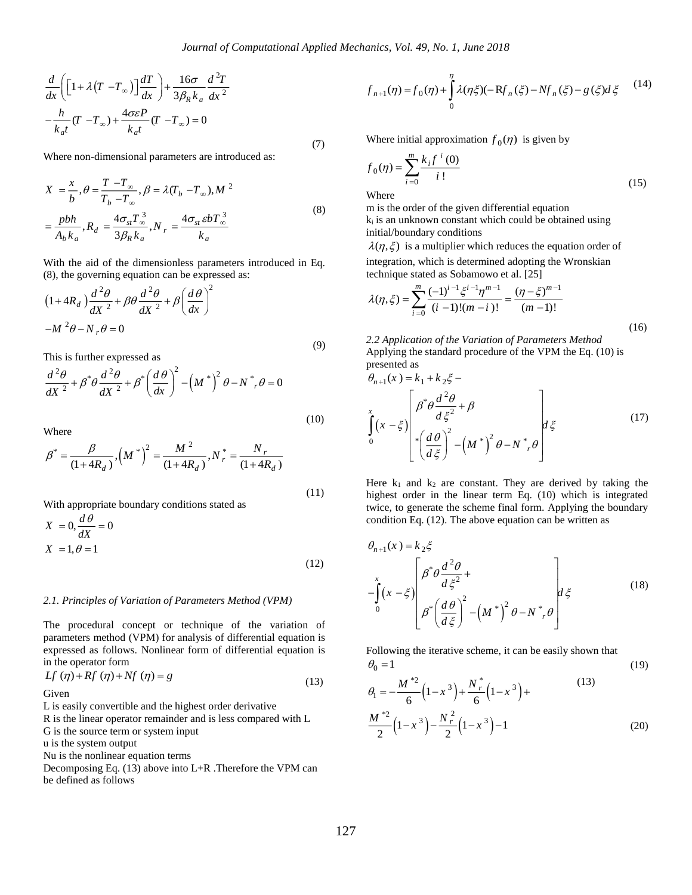$$
\frac{d}{dx}\left([1+\lambda(T-T_{\infty})]\frac{dT}{dx}\right)+\frac{16\sigma}{3\beta_R k_a}\frac{d^2T}{dx^2}
$$
\n  
\n
$$
-\frac{h}{k_a t}(T-T_{\infty})+\frac{4\sigma\varepsilon P}{k_a t}(T-T_{\infty})=0
$$
\nWhere non-dimensional parameters are introduced as:  
\n
$$
X = \frac{x}{b}, \theta = \frac{T-T_{\infty}}{T_b-T_{\infty}}, \beta = \lambda(T_b-T_{\infty}), M^2
$$
\n
$$
= \frac{pbh}{A_b k_a}, R_d = \frac{4\sigma_{st}T_{\infty}^3}{3\beta_R k_a}, N_r = \frac{4\sigma_{st}bT_{\infty}^3}{k_a}
$$
\nWith the aid of the dimensionless parameters introduced in Eq. (8), the governing equation can be expressed as:

\n
$$
(1+4R_d)\frac{d^2\theta}{dx^2} + \beta\theta \frac{d^2\theta}{dx^2} + \beta\left(\frac{d\theta}{dx}\right)^2
$$
\n
$$
-M^2\theta - N_r\theta = 0
$$
\nThis is further expressed as

\n
$$
\frac{d^2\theta}{dx^2} + \beta^*\theta \frac{d^2\theta}{dx^2} + \beta^*\left(\frac{d\theta}{dx}\right)^2 - (M^*)^2\theta - N^*, \theta = 0
$$
\nWhere

\n
$$
\beta^* = \frac{\beta}{(1+4R_d)}, (M^*)^2 = \frac{M^2}{(1+4R_d)}, N^* = \frac{N_r}{(1+4R_d)}
$$
\nWith appropriate boundary conditions stated as

\n
$$
X = 0, \frac{d\theta}{dx} = 0
$$
\n
$$
X = 1, \theta = 1
$$
\n122.

\n2.1. Principles of Variation of Parameters Method (VPM)

\nThe procedure concept or technique of the variation of parameters method (VPM) for analysis of differential equation is the operator form

\nIf  $(\eta) + Rf(\eta) + Nf(\eta) = g$ 

\n13. Since  $l$  is the linear operator remainder and is less compared with L is a single convergent.

\n14. Since  $l$  is the same that  $l$  is the same that  $l$  is the same operator element.

\n15. The equation of  $l$  is the

Where non-dimensional parameters are introduced as:

$$
X = \frac{x}{b}, \theta = \frac{T - T_{\infty}}{T_b - T_{\infty}}, \beta = \lambda (T_b - T_{\infty}), M^2
$$
  

$$
= \frac{pbh}{A_b k_a}, R_d = \frac{4\sigma_{st} T_{\infty}^3}{3\beta_R k_a}, N_r = \frac{4\sigma_{st} \epsilon b T_{\infty}^3}{k_a}
$$
 (8)

With the aid of the dimensionless parameters introduced in Eq. (8), the governing equation can be expressed as:

$$
(1 + 4R_d) \frac{d^2 \theta}{dX^2} + \beta \theta \frac{d^2 \theta}{dX^2} + \beta \left(\frac{d\theta}{dx}\right)^2
$$
  

$$
-M^2 \theta - N_r \theta = 0
$$
 (9)

This is further expressed as

$$
\frac{d^2\theta}{dX^2} + \beta^* \theta \frac{d^2\theta}{dX^2} + \beta^* \left(\frac{d\theta}{dx}\right)^2 - \left(M^*\right)^2 \theta - N^* \theta = 0
$$

Where

$$
\beta^* = \frac{\beta}{(1 + 4R_d)}, \left(M^*\right)^2 = \frac{M^2}{(1 + 4R_d)}, N_r^* = \frac{N_r}{(1 + 4R_d)}
$$
\n(11)

(10)

With appropriate boundary conditions stated as

$$
X = 0, \frac{d\theta}{dX} = 0
$$
  

$$
X = 1, \theta = 1
$$
 (12)

#### *2.1. Principles of Variation of Parameters Method (VPM)*

The procedural concept or technique of the variation of parameters method (VPM) for analysis of differential equation is expressed as follows. Nonlinear form of differential equation is in the operator form

$$
Lf(\eta) + Rf(\eta) + Nf(\eta) = g \tag{13}
$$

Given

L is easily convertible and the highest order derivative

R is the linear operator remainder and is less compared with L

G is the source term or system input

u is the system output

Nu is the nonlinear equation terms

Decomposing Eq. (13) above into L+R .Therefore the VPM can be defined as follows

$$
f_{n+1}(\eta) = f_0(\eta) + \int_0^{\eta} \lambda(\eta \xi)(-Rf_n(\xi) - Nf_n(\xi) - g(\xi)d\xi \qquad (14)
$$

Where initial approximation  $f_0(\eta)$  is given by

$$
f_0(\eta) = \sum_{i=0}^{m} \frac{k_i f^{i}(0)}{i!}
$$
 (15)

Where

m is the order of the given differential equation  $k_i$  is an unknown constant which could be obtained using initial/boundary conditions

 $\lambda(\eta, \xi)$  is a multiplier which reduces the equation order of integration, which is determined adopting the Wronskian technique stated as Sobamowo et al. [25]

$$
\lambda(\eta,\xi) = \sum_{i=0}^{m} \frac{(-1)^{i-1} \xi^{i-1} \eta^{m-1}}{(i-1)!(m-i)!} = \frac{(\eta - \xi)^{m-1}}{(m-1)!}
$$
\n(16)

*2.2 Application of the Variation of Parameters Method* Applying the standard procedure of the VPM the Eq. (10) is presented as

$$
\theta_{n+1}(x) = k_1 + k_2 \xi -
$$
\n
$$
\int_{0}^{x} (x - \xi) \left[ \beta^* \theta \frac{d^2 \theta}{d \xi^2} + \beta \right] \left[ \left( \frac{d \theta}{d \xi} \right)^2 - \left( M^* \right)^2 \theta - N^* \theta \right] d \xi \tag{17}
$$

Here  $k_1$  and  $k_2$  are constant. They are derived by taking the highest order in the linear term Eq. (10) which is integrated twice, to generate the scheme final form. Applying the boundary condition Eq. (12). The above equation can be written as

$$
\theta_{n+1}(x) = k_2 \xi
$$
\n
$$
-\int_{0}^{x} (x - \xi) \left[ \beta^* \theta \frac{d^2 \theta}{d \xi^2} + \right] \theta^* \left( \frac{d \theta}{d \xi} \right)^2 - \left( M^* \right)^2 \theta - N^* \theta
$$
\n(18)

Following the iterative scheme, it can be easily shown that  $\theta_0 = 1$ (19)

$$
\theta_{1} = -\frac{M^{*2}}{6} \left(1 - x^{3}\right) + \frac{N_{r}^{*}}{6} \left(1 - x^{3}\right) + \frac{(13)}{6}
$$
\nle, and is less compared with L

\n
$$
\frac{M^{*2}}{2} \left(1 - x^{3}\right) - \frac{N_{r}^{2}}{2} \left(1 - x^{3}\right) - 1 \tag{20}
$$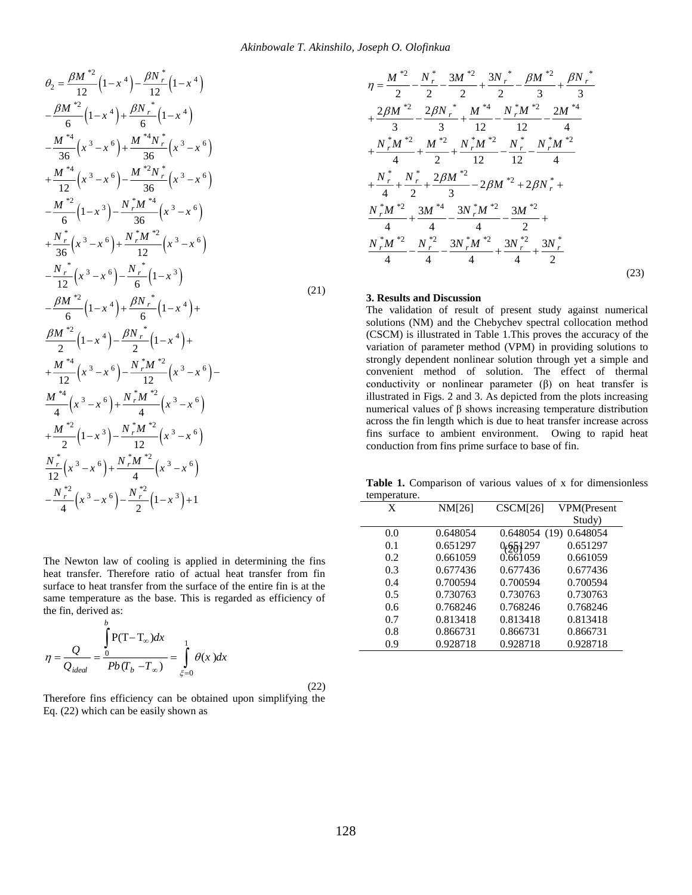$$
\theta_{2} = \frac{\beta M^{*2}}{12} (1 - x^{4}) - \frac{\beta N^{*}}{12} (1 - x^{4})
$$
\n
$$
-\frac{\beta M^{*2}}{6} (1 - x^{4}) + \frac{\beta N^{*}}{6} (1 - x^{4})
$$
\n
$$
-\frac{M^{*4}}{36} (x^{3} - x^{6}) + \frac{M^{*4} N^{*}}{36} (x^{3} - x^{6})
$$
\n
$$
+\frac{M^{*4}}{12} (x^{3} - x^{6}) - \frac{M^{*2} N^{*}}{36} (x^{3} - x^{6})
$$
\n
$$
-\frac{M^{*2}}{6} (1 - x^{3}) - \frac{N^{*}_{r} M^{*4}}{36} (x^{3} - x^{6})
$$
\n
$$
+\frac{N^{*}_{r}}{36} (x^{3} - x^{6}) + \frac{N^{*}_{r} M^{*2}}{12} (x^{3} - x^{6})
$$
\n
$$
-\frac{N^{*}_{r}}{12} (x^{3} - x^{6}) - \frac{N^{*}_{r}}{6} (1 - x^{3})
$$
\n
$$
-\frac{\beta M^{*2}}{6} (1 - x^{4}) + \frac{\beta N^{*}_{r}}{6} (1 - x^{4}) + \frac{\beta N^{*}_{r}}{2} (1 - x^{4}) + \frac{\beta M^{*2}}{2} (1 - x^{4}) + \frac{M^{*4}}{12} (x^{3} - x^{6}) - \frac{N^{*}_{r} M^{*2}}{12} (x^{3} - x^{6}) - \frac{N^{*}_{r} M^{*2}}{12} (x^{3} - x^{6})
$$
\n
$$
+\frac{M^{*4}}{2} (1 - x^{3}) - \frac{N^{*}_{r} M^{*2}}{12} (x^{3} - x^{6})
$$
\n
$$
\frac{N^{*}_{r}}{12} (1 - x^{3}) - \frac{N^{*}_{r} M^{*2}}{12} (x^{3} - x^{6})
$$
\n
$$
-\frac{N^{*2}}{4} (x^{3} - x^{6}) + \frac{N^{*2}}{4} (x^{3} - x^{6})
$$
\n
$$
-\frac{N^{*2}}{4} (x^{3} - x^{6}) - \frac{N
$$

$$
\eta = \frac{Q}{Q_{ideal}} = \frac{\int_{0}^{R} P(T - T_{\infty}) dx}{Pb(T_b - T_{\infty})} = \int_{\xi=0}^{1} \theta(x) dx
$$
\n(22)

Therefore fins efficiency can be obtained upon simplifying the Eq. (22) which can be easily shown as

$$
\eta = \frac{M^{*2}}{2} - \frac{N_r^*}{2} - \frac{3M^{*2}}{2} + \frac{3N_r^*}{2} - \frac{\beta M^{*2}}{3} + \frac{\beta N_r^*}{3} + \frac{2\beta M^{*2}}{3} - \frac{2\beta N_r^*}{3} + \frac{M^{*4}}{12} - \frac{N_r^*M^{*2}}{12} - \frac{2M^{*4}}{4} + \frac{N_r^*M^{*2}}{4} + \frac{M^{*2}}{2} + \frac{N_r^*M^{*2}}{12} - \frac{N_r^*}{12} - \frac{N_r^*M^{*2}}{4} + \frac{N_r^*}{4} + \frac{N_r^*}{2} + \frac{2\beta M^{*2}}{3} - 2\beta M^{*2} + 2\beta N_r^* + \frac{N_r^*M^{*2}}{4} + \frac{3M^{*4}}{4} - \frac{3N_r^*M^{*2}}{4} - \frac{3M^{*2}}{2} + \frac{N_r^*M^{*2}}{4} - \frac{N_r^*2}{4} - \frac{3N_r^*M^{*2}}{4} + \frac{3N_r^*}{4} - \frac{3N_r^*M^{*2}}{4} + \frac{3N_r^*}{4} - \frac{3N_r^*M^{*2}}{4} + \frac{3N_r^*}{4} - \frac{3N_r^*M^{*2}}{4} + \frac{3N_r^*}{4} - \frac{3N_r^*M^{*2}}{4} + \frac{3N_r^*}{4} - \frac{3N_r^*M^{*2}}{4} + \frac{3N_r^*}{4} - \frac{3N_r^*M^{*2}}{4} - \frac{3N_r^*M^{*2}}{4} - \frac{3N_r^*M^{*2}}{4} - \frac{3N_r^*M^{*2}}{4} - \frac{3N_r^*M^{*2}}{4} - \frac{3N_r^*M^{*2}}{4} - \frac{3N_r^*M^{*2}}{4} - \frac{3N_r^*M^{*2}}{4} - \frac{3N_r^*M^{*2}}{4} - \frac{3N_r^*M^{*2}}{4} - \frac{3N_r^*M^{*2}}{4} - \frac{3N_r^*M^{*2}}{4} - \frac{3N_r^*M^{*2}}{4} - \
$$

#### **3. Results and Discussion**

The validation of result of present study against numerical solutions (NM) and the Chebychev spectral collocation method (CSCM) is illustrated in Table 1.This proves the accuracy of the variation of parameter method (VPM) in providing solutions to strongly dependent nonlinear solution through yet a simple and convenient method of solution. The effect of thermal conductivity or nonlinear parameter  $(\beta)$  on heat transfer is illustrated in Figs. 2 and 3. As depicted from the plots increasing numerical values of β shows increasing temperature distribution across the fin length which is due to heat transfer increase across fins surface to ambient environment. Owing to rapid heat conduction from fins prime surface to base of fin.

**Table 1.** Comparison of various values of x for dimensionless temperature.  $\overline{a}$ 

| $\mathcal{L}$<br>$\lambda$ $\lambda$ $\lambda$ $\lambda$ $\lambda$ $\lambda$                                                                                                                                                                                                                                               | X   | NM[26]   | CSCM[26] | VPM(Present            |
|----------------------------------------------------------------------------------------------------------------------------------------------------------------------------------------------------------------------------------------------------------------------------------------------------------------------------|-----|----------|----------|------------------------|
|                                                                                                                                                                                                                                                                                                                            |     |          |          | Study)                 |
| The Newton law of cooling is applied in determining the fins<br>heat transfer. Therefore ratio of actual heat transfer from fin<br>surface to heat transfer from the surface of the entire fin is at the<br>same temperature as the base. This is regarded as efficiency of<br>the fin, derived as:<br>$P(T-T_{\infty})dx$ | 0.0 | 0.648054 |          | 0.648054 (19) 0.648054 |
|                                                                                                                                                                                                                                                                                                                            | 0.1 | 0.651297 | 0.651297 | 0.651297               |
|                                                                                                                                                                                                                                                                                                                            | 0.2 | 0.661059 | 0.661059 | 0.661059               |
|                                                                                                                                                                                                                                                                                                                            | 0.3 | 0.677436 | 0.677436 | 0.677436               |
|                                                                                                                                                                                                                                                                                                                            | 0.4 | 0.700594 | 0.700594 | 0.700594               |
|                                                                                                                                                                                                                                                                                                                            | 0.5 | 0.730763 | 0.730763 | 0.730763               |
|                                                                                                                                                                                                                                                                                                                            | 0.6 | 0.768246 | 0.768246 | 0.768246               |
|                                                                                                                                                                                                                                                                                                                            | 0.7 | 0.813418 | 0.813418 | 0.813418               |
|                                                                                                                                                                                                                                                                                                                            | 0.8 | 0.866731 | 0.866731 | 0.866731               |
|                                                                                                                                                                                                                                                                                                                            | 0.9 | 0.928718 | 0.928718 | 0.928718               |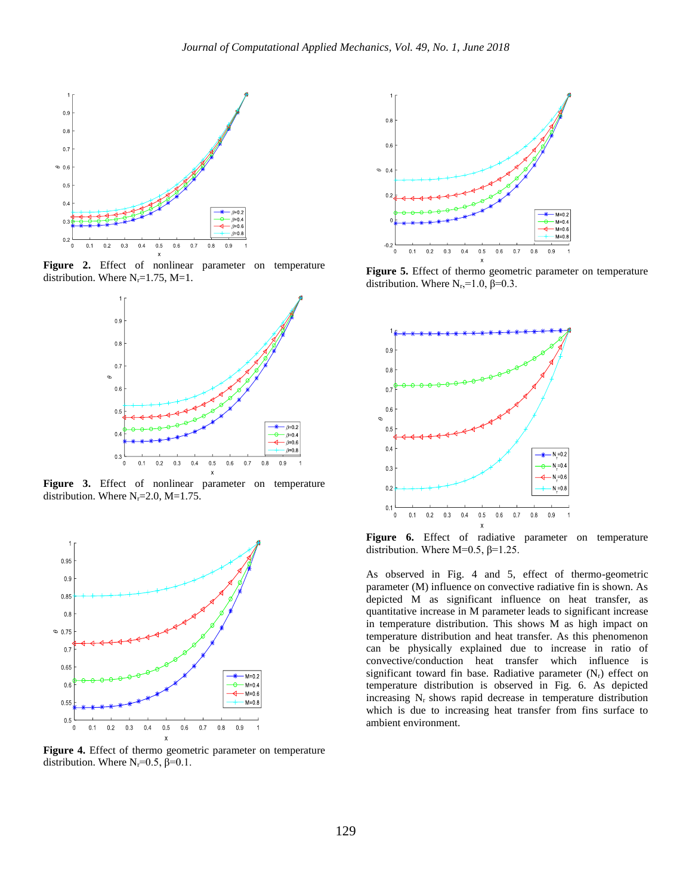

**Figure 2.** Effect of nonlinear parameter on temperature distribution. Where  $N_r = 1.75$ ,  $M = 1$ .



**Figure 3.** Effect of nonlinear parameter on temperature distribution. Where  $N_r = 2.0$ ,  $M = 1.75$ .



**Figure 4.** Effect of thermo geometric parameter on temperature distribution. Where  $N_r = 0.5$ ,  $\beta = 0.1$ .



**Figure 5.** Effect of thermo geometric parameter on temperature distribution. Where  $N_r$ ,=1.0,  $\beta$ =0.3.



Figure 6. Effect of radiative parameter on temperature distribution. Where  $M=0.5$ ,  $\beta=1.25$ .

As observed in Fig. 4 and 5, effect of thermo-geometric parameter (M) influence on convective radiative fin is shown. As depicted M as significant influence on heat transfer, as quantitative increase in M parameter leads to significant increase in temperature distribution. This shows M as high impact on temperature distribution and heat transfer. As this phenomenon can be physically explained due to increase in ratio of convective/conduction heat transfer which influence is significant toward fin base. Radiative parameter  $(N_r)$  effect on temperature distribution is observed in Fig. 6. As depicted increasing  $N_r$  shows rapid decrease in temperature distribution which is due to increasing heat transfer from fins surface to ambient environment.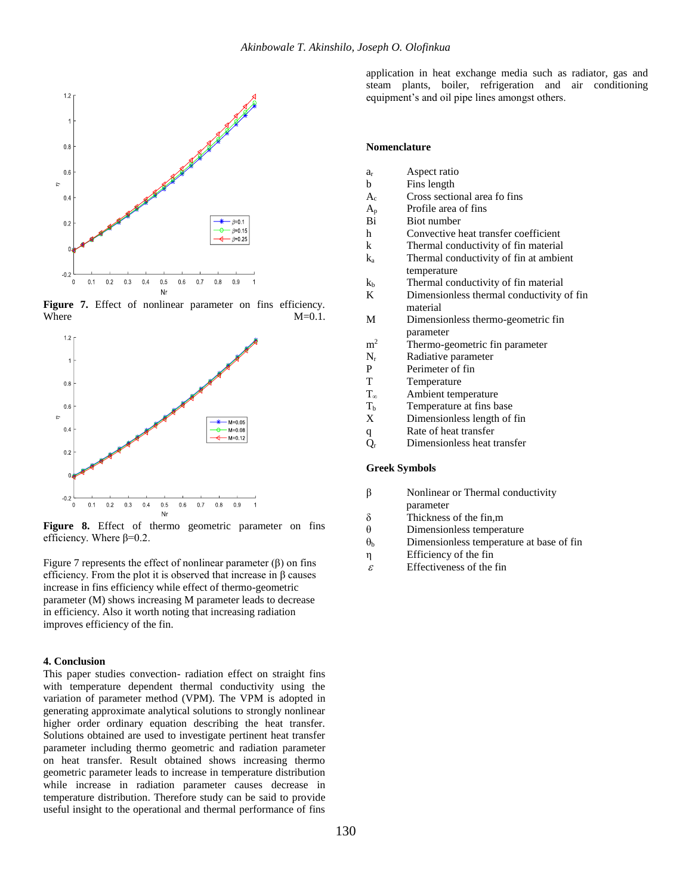

**Figure 7.** Effect of nonlinear parameter on fins efficiency. Where  $M=0.1$ .



**Figure 8.** Effect of thermo geometric parameter on fins efficiency. Where  $\beta$ =0.2.

Figure 7 represents the effect of nonlinear parameter  $(\beta)$  on fins efficiency. From the plot it is observed that increase in  $\beta$  causes increase in fins efficiency while effect of thermo-geometric parameter (M) shows increasing M parameter leads to decrease in efficiency. Also it worth noting that increasing radiation improves efficiency of the fin.

#### **4. Conclusion**

This paper studies convection- radiation effect on straight fins with temperature dependent thermal conductivity using the variation of parameter method (VPM). The VPM is adopted in generating approximate analytical solutions to strongly nonlinear higher order ordinary equation describing the heat transfer. Solutions obtained are used to investigate pertinent heat transfer parameter including thermo geometric and radiation parameter on heat transfer. Result obtained shows increasing thermo geometric parameter leads to increase in temperature distribution while increase in radiation parameter causes decrease in temperature distribution. Therefore study can be said to provide useful insight to the operational and thermal performance of fins

application in heat exchange media such as radiator, gas and steam plants, boiler, refrigeration and air conditioning equipment's and oil pipe lines amongst others.

#### **Nomenclature**

- a<sup>r</sup> Aspect ratio
- b Fins length
- A<sup>c</sup> Cross sectional area fo fins
- $A_p$  Profile area of fins
- Bi Biot number
- h Convective heat transfer coefficient
- k Thermal conductivity of fin material
- k<sup>a</sup> Thermal conductivity of fin at ambient temperature
- $k<sub>b</sub>$  Thermal conductivity of fin material
- K Dimensionless thermal conductivity of fin material
- M Dimensionless thermo-geometric fin parameter
- $m<sup>2</sup>$  Thermo-geometric fin parameter
- $N_r$  Radiative parameter<br>P Perimeter of fin
- P Perimeter of fin<br>T Temperature
- Temperature
- T<sup>∞</sup> Ambient temperature
- $T<sub>b</sub>$  Temperature at fins base
- X Dimensionless length of fin
- q Rate of heat transfer
- $\overline{Q}_r$  Dimensionless heat transfer

#### **Greek Symbols**

- β Nonlinear or Thermal conductivity parameter
- $\delta$  Thickness of the fin,m<br> $\theta$  Dimensionless tempera
- Dimensionless temperature
- $\theta_b$  Dimensionless temperature at base of fin
- η Efficiency of the fin
- $\mathcal{E}$ Effectiveness of the fin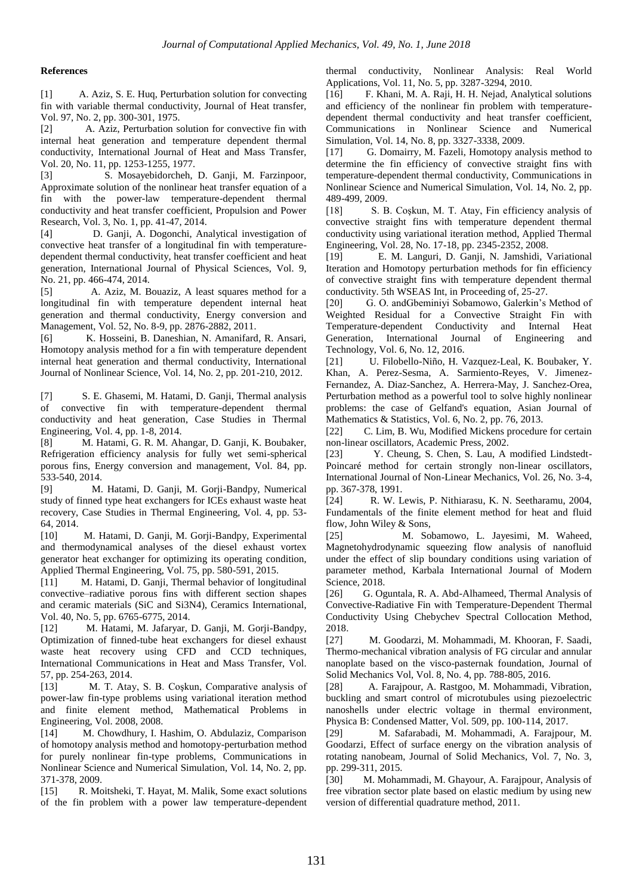### **References**

[1] A. Aziz, S. E. Huq, Perturbation solution for convecting fin with variable thermal conductivity, Journal of Heat transfer, Vol. 97, No. 2, pp. 300-301, 1975.

[2] A. Aziz, Perturbation solution for convective fin with internal heat generation and temperature dependent thermal conductivity, International Journal of Heat and Mass Transfer, Vol. 20, No. 11, pp. 1253-1255, 1977.

[3] S. Mosayebidorcheh, D. Ganji, M. Farzinpoor, Approximate solution of the nonlinear heat transfer equation of a fin with the power-law temperature-dependent thermal conductivity and heat transfer coefficient, Propulsion and Power Research, Vol. 3, No. 1, pp. 41-47, 2014.

[4] D. Ganji, A. Dogonchi, Analytical investigation of convective heat transfer of a longitudinal fin with temperaturedependent thermal conductivity, heat transfer coefficient and heat generation, International Journal of Physical Sciences, Vol. 9, No. 21, pp. 466-474, 2014.

[5] A. Aziz, M. Bouaziz, A least squares method for a longitudinal fin with temperature dependent internal heat generation and thermal conductivity, Energy conversion and Management, Vol. 52, No. 8-9, pp. 2876-2882, 2011.

[6] K. Hosseini, B. Daneshian, N. Amanifard, R. Ansari, Homotopy analysis method for a fin with temperature dependent internal heat generation and thermal conductivity, International Journal of Nonlinear Science, Vol. 14, No. 2, pp. 201-210, 2012.

[7] S. E. Ghasemi, M. Hatami, D. Ganji, Thermal analysis of convective fin with temperature-dependent thermal conductivity and heat generation, Case Studies in Thermal Engineering, Vol. 4, pp. 1-8, 2014.

[8] M. Hatami, G. R. M. Ahangar, D. Ganji, K. Boubaker, Refrigeration efficiency analysis for fully wet semi-spherical porous fins, Energy conversion and management, Vol. 84, pp. 533-540, 2014.

[9] M. Hatami, D. Ganji, M. Gorji-Bandpy, Numerical study of finned type heat exchangers for ICEs exhaust waste heat recovery, Case Studies in Thermal Engineering, Vol. 4, pp. 53- 64, 2014.

[10] M. Hatami, D. Ganji, M. Gorji-Bandpy, Experimental and thermodynamical analyses of the diesel exhaust vortex generator heat exchanger for optimizing its operating condition, Applied Thermal Engineering, Vol. 75, pp. 580-591, 2015.

[11] M. Hatami, D. Ganji, Thermal behavior of longitudinal convective–radiative porous fins with different section shapes and ceramic materials (SiC and Si3N4), Ceramics International, Vol. 40, No. 5, pp. 6765-6775, 2014.

[12] M. Hatami, M. Jafaryar, D. Ganji, M. Gorji-Bandpy, Optimization of finned-tube heat exchangers for diesel exhaust waste heat recovery using CFD and CCD techniques, International Communications in Heat and Mass Transfer, Vol. 57, pp. 254-263, 2014.

[13] M. T. Atay, S. B. Coşkun, Comparative analysis of power-law fin-type problems using variational iteration method and finite element method, Mathematical Problems in Engineering, Vol. 2008, 2008.

[14] M. Chowdhury, I. Hashim, O. Abdulaziz, Comparison of homotopy analysis method and homotopy-perturbation method for purely nonlinear fin-type problems, Communications in Nonlinear Science and Numerical Simulation, Vol. 14, No. 2, pp. 371-378, 2009.

[15] R. Moitsheki, T. Hayat, M. Malik, Some exact solutions of the fin problem with a power law temperature-dependent thermal conductivity, Nonlinear Analysis: Real World Applications, Vol. 11, No. 5, pp. 3287-3294, 2010.

[16] F. Khani, M. A. Raji, H. H. Nejad, Analytical solutions and efficiency of the nonlinear fin problem with temperaturedependent thermal conductivity and heat transfer coefficient, Communications in Nonlinear Science and Numerical Simulation, Vol. 14, No. 8, pp. 3327-3338, 2009.

[17] G. Domairry, M. Fazeli, Homotopy analysis method to determine the fin efficiency of convective straight fins with temperature-dependent thermal conductivity, Communications in Nonlinear Science and Numerical Simulation, Vol. 14, No. 2, pp. 489-499, 2009.

[18] S. B. Coşkun, M. T. Atay, Fin efficiency analysis of convective straight fins with temperature dependent thermal conductivity using variational iteration method, Applied Thermal Engineering, Vol. 28, No. 17-18, pp. 2345-2352, 2008.

[19] E. M. Languri, D. Ganji, N. Jamshidi, Variational Iteration and Homotopy perturbation methods for fin efficiency of convective straight fins with temperature dependent thermal conductivity. 5th WSEAS Int, in Proceeding of, 25-27.

[20] G. O. andGbeminiyi Sobamowo, Galerkin's Method of Weighted Residual for a Convective Straight Fin with Temperature-dependent Conductivity and Internal Heat Generation, International Journal of Engineering and Technology, Vol. 6, No. 12, 2016.

[21] U. Filobello-Niño, H. Vazquez-Leal, K. Boubaker, Y. Khan, A. Perez-Sesma, A. Sarmiento-Reyes, V. Jimenez-Fernandez, A. Diaz-Sanchez, A. Herrera-May, J. Sanchez-Orea, Perturbation method as a powerful tool to solve highly nonlinear problems: the case of Gelfand's equation, Asian Journal of Mathematics & Statistics, Vol. 6, No. 2, pp. 76, 2013.

[22] C. Lim, B. Wu, Modified Mickens procedure for certain non-linear oscillators, Academic Press, 2002.

[23] Y. Cheung, S. Chen, S. Lau, A modified Lindstedt-Poincaré method for certain strongly non-linear oscillators, International Journal of Non-Linear Mechanics, Vol. 26, No. 3-4, pp. 367-378, 1991.

[24] R. W. Lewis, P. Nithiarasu, K. N. Seetharamu, 2004, Fundamentals of the finite element method for heat and fluid flow, John Wiley & Sons,

[25] M. Sobamowo, L. Jayesimi, M. Waheed, Magnetohydrodynamic squeezing flow analysis of nanofluid under the effect of slip boundary conditions using variation of parameter method, Karbala International Journal of Modern Science, 2018.

[26] G. Oguntala, R. A. Abd-Alhameed, Thermal Analysis of Convective-Radiative Fin with Temperature-Dependent Thermal Conductivity Using Chebychev Spectral Collocation Method, 2018.

[27] M. Goodarzi, M. Mohammadi, M. Khooran, F. Saadi, Thermo-mechanical vibration analysis of FG circular and annular nanoplate based on the visco-pasternak foundation, Journal of Solid Mechanics Vol, Vol. 8, No. 4, pp. 788-805, 2016.

[28] A. Farajpour, A. Rastgoo, M. Mohammadi, Vibration, buckling and smart control of microtubules using piezoelectric nanoshells under electric voltage in thermal environment, Physica B: Condensed Matter, Vol. 509, pp. 100-114, 2017.

[29] M. Safarabadi, M. Mohammadi, A. Farajpour, M. Goodarzi, Effect of surface energy on the vibration analysis of rotating nanobeam, Journal of Solid Mechanics, Vol. 7, No. 3, pp. 299-311, 2015.

[30] M. Mohammadi, M. Ghayour, A. Farajpour, Analysis of free vibration sector plate based on elastic medium by using new version of differential quadrature method, 2011.